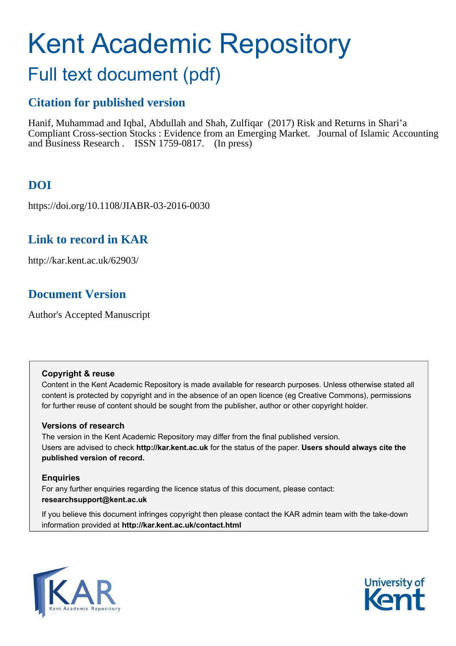# Kent Academic Repository

## Full text document (pdf)

## **Citation for published version**

Hanif, Muhammad and Iqbal, Abdullah and Shah, Zulfiqar (2017) Risk and Returns in Shari'a Compliant Cross-section Stocks : Evidence from an Emerging Market. Journal of Islamic Accounting and Business Research . ISSN 1759-0817. (In press)

## **DOI**

https://doi.org/10.1108/JIABR-03-2016-0030

## **Link to record in KAR**

http://kar.kent.ac.uk/62903/

## **Document Version**

Author's Accepted Manuscript

#### **Copyright & reuse**

Content in the Kent Academic Repository is made available for research purposes. Unless otherwise stated all content is protected by copyright and in the absence of an open licence (eg Creative Commons), permissions for further reuse of content should be sought from the publisher, author or other copyright holder.

#### **Versions of research**

The version in the Kent Academic Repository may differ from the final published version. Users are advised to check **http://kar.kent.ac.uk** for the status of the paper. **Users should always cite the published version of record.**

#### **Enquiries**

For any further enquiries regarding the licence status of this document, please contact: **researchsupport@kent.ac.uk**

If you believe this document infringes copyright then please contact the KAR admin team with the take-down information provided at **http://kar.kent.ac.uk/contact.html**



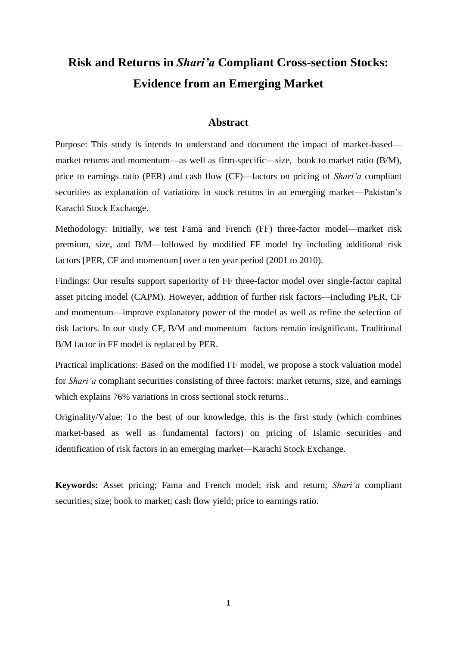## **Risk and Returns in** *Shari'a* **Compliant Cross-section Stocks: Evidence from an Emerging Market**

#### **Abstract**

Purpose: This study is intends to understand and document the impact of market-based market returns and momentum—as well as firm-specific—size, book to market ratio (B/M), price to earnings ratio (PER) and cash flow (CF)—factors on pricing of *Shari'a* compliant securities as explanation of variations in stock returns in an emerging market—Pakistan's Karachi Stock Exchange.

Methodology: Initially, we test Fama and French (FF) three-factor model—market risk premium, size, and B/M—followed by modified FF model by including additional risk factors [PER, CF and momentum] over a ten year period (2001 to 2010).

Findings: Our results support superiority of FF three-factor model over single-factor capital asset pricing model (CAPM). However, addition of further risk factors—including PER, CF and momentum—improve explanatory power of the model as well as refine the selection of risk factors. In our study CF, B/M and momentum factors remain insignificant. Traditional B/M factor in FF model is replaced by PER.

Practical implications: Based on the modified FF model, we propose a stock valuation model for *Shari'a* compliant securities consisting of three factors: market returns, size, and earnings which explains 76% variations in cross sectional stock returns..

Originality/Value: To the best of our knowledge, this is the first study (which combines market-based as well as fundamental factors) on pricing of Islamic securities and identification of risk factors in an emerging market—Karachi Stock Exchange.

**Keywords:** Asset pricing; Fama and French model; risk and return; *Shari'a* compliant securities; size; book to market; cash flow yield; price to earnings ratio.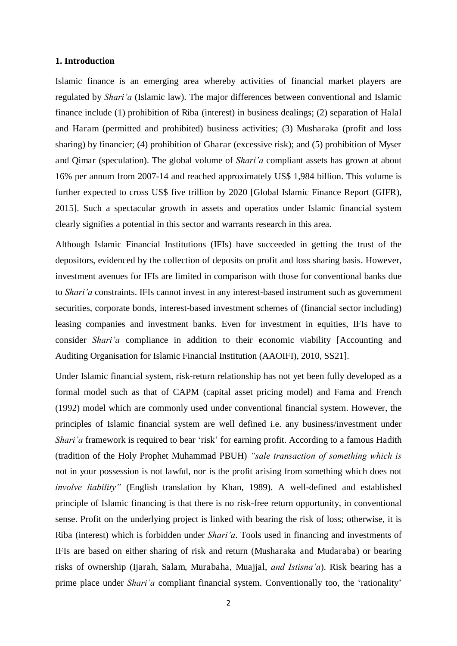#### **1. Introduction**

Islamic finance is an emerging area whereby activities of financial market players are regulated by *Shari'a* (Islamic law). The major differences between conventional and Islamic finance include (1) prohibition of Riba (interest) in business dealings; (2) separation of Halal and Haram (permitted and prohibited) business activities; (3) Musharaka (profit and loss sharing) by financier; (4) prohibition of Gharar (excessive risk); and (5) prohibition of Myser and Qimar (speculation). The global volume of *Shari'a* compliant assets has grown at about 16% per annum from 2007-14 and reached approximately US\$ 1,984 billion. This volume is further expected to cross US\$ five trillion by 2020 [Global Islamic Finance Report (GIFR), 2015]. Such a spectacular growth in assets and operatios under Islamic financial system clearly signifies a potential in this sector and warrants research in this area.

Although Islamic Financial Institutions (IFIs) have succeeded in getting the trust of the depositors, evidenced by the collection of deposits on profit and loss sharing basis. However, investment avenues for IFIs are limited in comparison with those for conventional banks due to *Shari'a* constraints. IFIs cannot invest in any interest-based instrument such as government securities, corporate bonds, interest-based investment schemes of (financial sector including) leasing companies and investment banks. Even for investment in equities, IFIs have to consider *Shari'a* compliance in addition to their economic viability [Accounting and Auditing Organisation for Islamic Financial Institution (AAOIFI), 2010, SS21].

Under Islamic financial system, risk-return relationship has not yet been fully developed as a formal model such as that of CAPM (capital asset pricing model) and Fama and French (1992) model which are commonly used under conventional financial system. However, the principles of Islamic financial system are well defined i.e. any business/investment under *Shari'a* framework is required to bear 'risk' for earning profit. According to a famous Hadith (tradition of the Holy Prophet Muhammad PBUH) *"sale transaction of something which is*  not in your possession is not lawful, nor is the profit arising from something which does not *involve liability"* (English translation by Khan, 1989). A well-defined and established principle of Islamic financing is that there is no risk-free return opportunity, in conventional sense. Profit on the underlying project is linked with bearing the risk of loss; otherwise, it is Riba (interest) which is forbidden under *Shari'a*. Tools used in financing and investments of IFIs are based on either sharing of risk and return (Musharaka and Mudaraba) or bearing risks of ownership (Ijarah, Salam, Murabaha, Muajjal, *and Istisna'a*). Risk bearing has a prime place under *Shari'a* compliant financial system. Conventionally too, the 'rationality'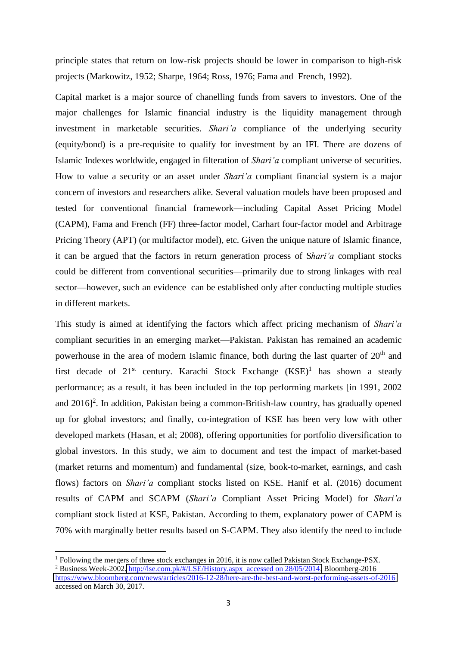principle states that return on low-risk projects should be lower in comparison to high-risk projects (Markowitz, 1952; Sharpe, 1964; Ross, 1976; Fama and French, 1992).

Capital market is a major source of chanelling funds from savers to investors. One of the major challenges for Islamic financial industry is the liquidity management through investment in marketable securities. *Shari'a* compliance of the underlying security (equity/bond) is a pre-requisite to qualify for investment by an IFI. There are dozens of Islamic Indexes worldwide, engaged in filteration of *Shari'a* compliant universe of securities. How to value a security or an asset under *Shari'a* compliant financial system is a major concern of investors and researchers alike. Several valuation models have been proposed and tested for conventional financial framework—including Capital Asset Pricing Model (CAPM), Fama and French (FF) three-factor model, Carhart four-factor model and Arbitrage Pricing Theory (APT) (or multifactor model), etc. Given the unique nature of Islamic finance, it can be argued that the factors in return generation process of S*hari'a* compliant stocks could be different from conventional securities—primarily due to strong linkages with real sector—however, such an evidence can be established only after conducting multiple studies in different markets.

This study is aimed at identifying the factors which affect pricing mechanism of *Shari'a* compliant securities in an emerging market—Pakistan. Pakistan has remained an academic powerhouse in the area of modern Islamic finance, both during the last quarter of 20<sup>th</sup> and first decade of 21<sup>st</sup> century. Karachi Stock Exchange (KSE)<sup>1</sup> has shown a steady performance; as a result, it has been included in the top performing markets [in 1991, 2002 and 2016]<sup>2</sup>. In addition, Pakistan being a common-British-law country, has gradually opened up for global investors; and finally, co-integration of KSE has been very low with other developed markets (Hasan, et al; 2008), offering opportunities for portfolio diversification to global investors. In this study, we aim to document and test the impact of market-based (market returns and momentum) and fundamental (size, book-to-market, earnings, and cash flows) factors on *Shari'a* compliant stocks listed on KSE. Hanif et al. (2016) document results of CAPM and SCAPM (*Shari'a* Compliant Asset Pricing Model) for *Shari'a* compliant stock listed at KSE, Pakistan. According to them, explanatory power of CAPM is 70% with marginally better results based on S-CAPM. They also identify the need to include

<sup>&</sup>lt;sup>1</sup> Following the mergers of three stock exchanges in 2016, it is now called Pakistan Stock Exchange-PSX.

<sup>&</sup>lt;sup>2</sup> Business Week-2002. [http://lse.com.pk/#/LSE/History.aspx accessed on 28/05/2014.](http://lse.com.pk/#/LSE/History.aspx  accessed on 28/05/2014) Bloomberg-2016 <https://www.bloomberg.com/news/articles/2016-12-28/here-are-the-best-and-worst-performing-assets-of-2016> accessed on March 30, 2017.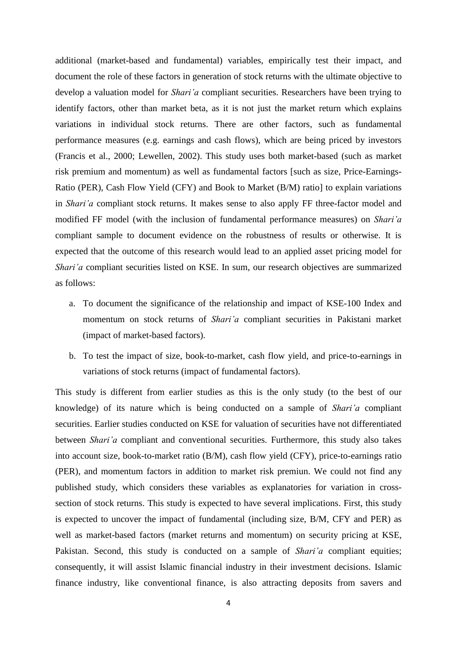additional (market-based and fundamental) variables, empirically test their impact, and document the role of these factors in generation of stock returns with the ultimate objective to develop a valuation model for *Shari'a* compliant securities. Researchers have been trying to identify factors, other than market beta, as it is not just the market return which explains variations in individual stock returns. There are other factors, such as fundamental performance measures (e.g. earnings and cash flows), which are being priced by investors (Francis et al., 2000; Lewellen, 2002). This study uses both market-based (such as market risk premium and momentum) as well as fundamental factors [such as size, Price-Earnings-Ratio (PER), Cash Flow Yield (CFY) and Book to Market (B/M) ratio] to explain variations in *Shari'a* compliant stock returns. It makes sense to also apply FF three-factor model and modified FF model (with the inclusion of fundamental performance measures) on *Shari'a* compliant sample to document evidence on the robustness of results or otherwise. It is expected that the outcome of this research would lead to an applied asset pricing model for *Shari'a* compliant securities listed on KSE. In sum, our research objectives are summarized as follows:

- a. To document the significance of the relationship and impact of KSE-100 Index and momentum on stock returns of *Shari'a* compliant securities in Pakistani market (impact of market-based factors).
- b. To test the impact of size, book-to-market, cash flow yield, and price-to-earnings in variations of stock returns (impact of fundamental factors).

This study is different from earlier studies as this is the only study (to the best of our knowledge) of its nature which is being conducted on a sample of *Shari'a* compliant securities. Earlier studies conducted on KSE for valuation of securities have not differentiated between *Shari'a* compliant and conventional securities. Furthermore, this study also takes into account size, book-to-market ratio (B/M), cash flow yield (CFY), price-to-earnings ratio (PER), and momentum factors in addition to market risk premiun. We could not find any published study, which considers these variables as explanatories for variation in crosssection of stock returns. This study is expected to have several implications. First, this study is expected to uncover the impact of fundamental (including size, B/M, CFY and PER) as well as market-based factors (market returns and momentum) on security pricing at KSE, Pakistan. Second, this study is conducted on a sample of *Shari'a* compliant equities; consequently, it will assist Islamic financial industry in their investment decisions. Islamic finance industry, like conventional finance, is also attracting deposits from savers and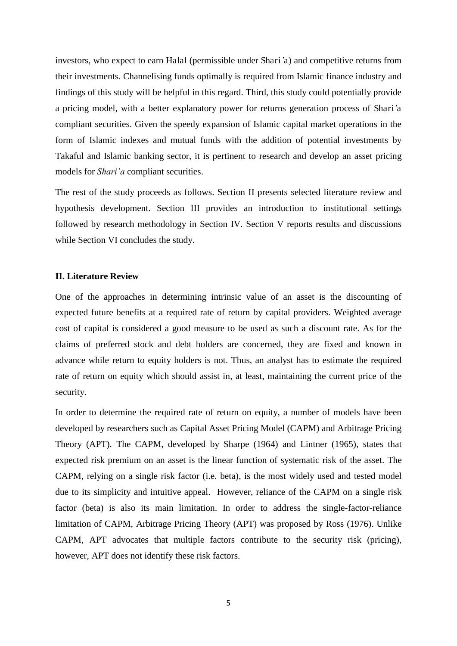investors, who expect to earn Halal (permissible under Shari*'*a) and competitive returns from their investments. Channelising funds optimally is required from Islamic finance industry and findings of this study will be helpful in this regard. Third, this study could potentially provide a pricing model, with a better explanatory power for returns generation process of Shari*'*a compliant securities. Given the speedy expansion of Islamic capital market operations in the form of Islamic indexes and mutual funds with the addition of potential investments by Takaful and Islamic banking sector, it is pertinent to research and develop an asset pricing models for *Shari'a* compliant securities.

The rest of the study proceeds as follows. Section II presents selected literature review and hypothesis development. Section III provides an introduction to institutional settings followed by research methodology in Section IV. Section V reports results and discussions while Section VI concludes the study.

#### **II. Literature Review**

One of the approaches in determining intrinsic value of an asset is the discounting of expected future benefits at a required rate of return by capital providers. Weighted average cost of capital is considered a good measure to be used as such a discount rate. As for the claims of preferred stock and debt holders are concerned, they are fixed and known in advance while return to equity holders is not. Thus, an analyst has to estimate the required rate of return on equity which should assist in, at least, maintaining the current price of the security.

In order to determine the required rate of return on equity, a number of models have been developed by researchers such as Capital Asset Pricing Model (CAPM) and Arbitrage Pricing Theory (APT). The CAPM, developed by Sharpe (1964) and Lintner (1965), states that expected risk premium on an asset is the linear function of systematic risk of the asset. The CAPM, relying on a single risk factor (i.e. beta), is the most widely used and tested model due to its simplicity and intuitive appeal. However, reliance of the CAPM on a single risk factor (beta) is also its main limitation. In order to address the single-factor-reliance limitation of CAPM, Arbitrage Pricing Theory (APT) was proposed by Ross (1976). Unlike CAPM, APT advocates that multiple factors contribute to the security risk (pricing), however, APT does not identify these risk factors.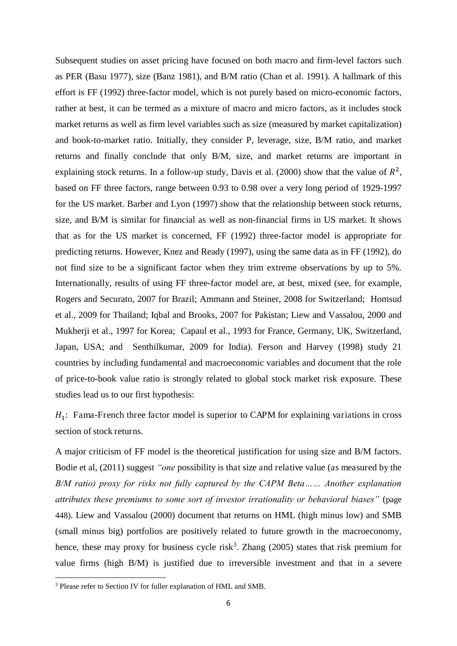Subsequent studies on asset pricing have focused on both macro and firm-level factors such as PER (Basu 1977), size (Banz 1981), and B/M ratio (Chan et al. 1991). A hallmark of this effort is FF (1992) three-factor model, which is not purely based on micro-economic factors, rather at best, it can be termed as a mixture of macro and micro factors, as it includes stock market returns as well as firm level variables such as size (measured by market capitalization) and book-to-market ratio. Initially, they consider P, leverage, size, B/M ratio, and market returns and finally conclude that only B/M, size, and market returns are important in explaining stock returns. In a follow-up study, Davis et al. (2000) show that the value of  $R^2$ , based on FF three factors, range between 0.93 to 0.98 over a very long period of 1929-1997 for the US market. Barber and Lyon (1997) show that the relationship between stock returns, size, and B/M is similar for financial as well as non-financial firms in US market. It shows that as for the US market is concerned, FF (1992) three-factor model is appropriate for predicting returns. However, Knez and Ready (1997), using the same data as in FF (1992), do not find size to be a significant factor when they trim extreme observations by up to 5%. Internationally, results of using FF three-factor model are, at best, mixed (see, for example, Rogers and Securato, 2007 for Brazil; Ammann and Steiner, 2008 for Switzerland; Homsud et al., 2009 for Thailand; Iqbal and Brooks, 2007 for Pakistan; Liew and Vassalou, 2000 and Mukherji et al., 1997 for Korea; Capaul et al., 1993 for France, Germany, UK, Switzerland, Japan, USA; and Senthilkumar, 2009 for India). Ferson and Harvey (1998) study 21 countries by including fundamental and macroeconomic variables and document that the role of price-to-book value ratio is strongly related to global stock market risk exposure. These studies lead us to our first hypothesis:

 $H_1$ : Fama-French three factor model is superior to CAPM for explaining variations in cross section of stock returns.

A major criticism of FF model is the theoretical justification for using size and B/M factors. Bodie et al, (2011) suggest *"one* possibility is that size and relative value (as measured by the *B/M ratio) proxy for risks not fully captured by the CAPM Beta…… Another explanation attributes these premiums to some sort of investor irrationality or behavioral biases"* (page 448). Liew and Vassalou (2000) document that returns on HML (high minus low) and SMB (small minus big) portfolios are positively related to future growth in the macroeconomy, hence, these may proxy for business cycle risk<sup>3</sup>. Zhang  $(2005)$  states that risk premium for value firms (high B/M) is justified due to irreversible investment and that in a severe

<sup>&</sup>lt;sup>3</sup> Please refer to Section IV for fuller explanation of HML and SMB.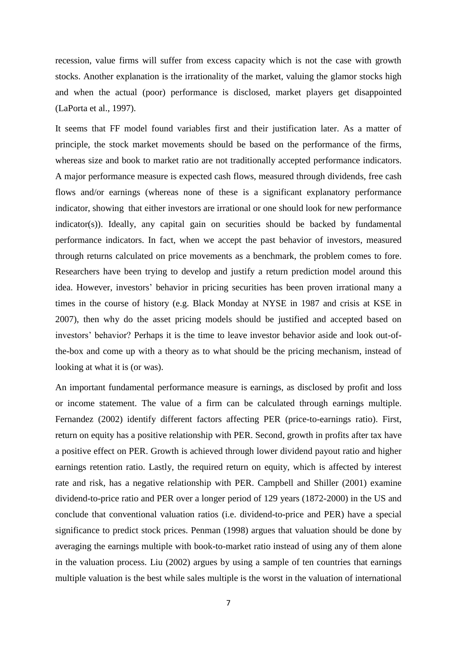recession, value firms will suffer from excess capacity which is not the case with growth stocks. Another explanation is the irrationality of the market, valuing the glamor stocks high and when the actual (poor) performance is disclosed, market players get disappointed (LaPorta et al., 1997).

It seems that FF model found variables first and their justification later. As a matter of principle, the stock market movements should be based on the performance of the firms, whereas size and book to market ratio are not traditionally accepted performance indicators. A major performance measure is expected cash flows, measured through dividends, free cash flows and/or earnings (whereas none of these is a significant explanatory performance indicator, showing that either investors are irrational or one should look for new performance indicator(s)). Ideally, any capital gain on securities should be backed by fundamental performance indicators. In fact, when we accept the past behavior of investors, measured through returns calculated on price movements as a benchmark, the problem comes to fore. Researchers have been trying to develop and justify a return prediction model around this idea. However, investors' behavior in pricing securities has been proven irrational many a times in the course of history (e.g. Black Monday at NYSE in 1987 and crisis at KSE in 2007), then why do the asset pricing models should be justified and accepted based on investors' behavior? Perhaps it is the time to leave investor behavior aside and look out-ofthe-box and come up with a theory as to what should be the pricing mechanism, instead of looking at what it is (or was).

An important fundamental performance measure is earnings, as disclosed by profit and loss or income statement. The value of a firm can be calculated through earnings multiple. Fernandez (2002) identify different factors affecting PER (price-to-earnings ratio). First, return on equity has a positive relationship with PER. Second, growth in profits after tax have a positive effect on PER. Growth is achieved through lower dividend payout ratio and higher earnings retention ratio. Lastly, the required return on equity, which is affected by interest rate and risk, has a negative relationship with PER. Campbell and Shiller (2001) examine dividend-to-price ratio and PER over a longer period of 129 years (1872-2000) in the US and conclude that conventional valuation ratios (i.e. dividend-to-price and PER) have a special significance to predict stock prices. Penman (1998) argues that valuation should be done by averaging the earnings multiple with book-to-market ratio instead of using any of them alone in the valuation process. Liu (2002) argues by using a sample of ten countries that earnings multiple valuation is the best while sales multiple is the worst in the valuation of international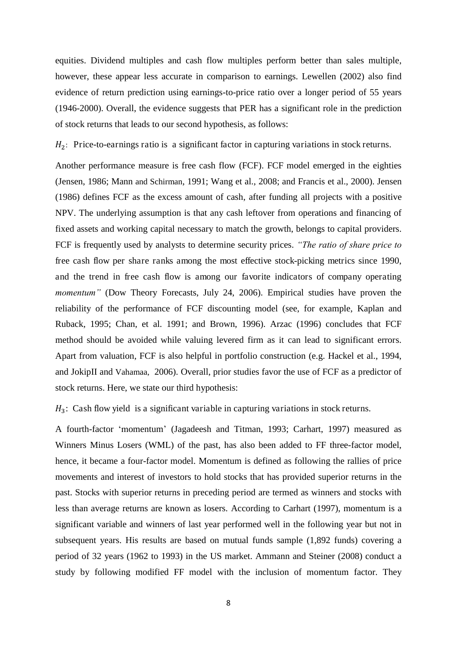equities. Dividend multiples and cash flow multiples perform better than sales multiple, however, these appear less accurate in comparison to earnings. Lewellen (2002) also find evidence of return prediction using earnings-to-price ratio over a longer period of 55 years (1946-2000). Overall, the evidence suggests that PER has a significant role in the prediction of stock returns that leads to our second hypothesis, as follows:

 $H_2$ : Price-to-earnings ratio is a significant factor in capturing variations in stock returns.

Another performance measure is free cash flow (FCF). FCF model emerged in the eighties (Jensen, 1986; Mann and Schirman, 1991; Wang et al., 2008; and Francis et al., 2000). Jensen (1986) defines FCF as the excess amount of cash, after funding all projects with a positive NPV. The underlying assumption is that any cash leftover from operations and financing of fixed assets and working capital necessary to match the growth, belongs to capital providers. FCF is frequently used by analysts to determine security prices. *"The ratio of share price to*  free cash flow per share ranks among the most effective stock-picking metrics since 1990, and the trend in free cash flow is among our favorite indicators of company operating *momentum*" (Dow Theory Forecasts, July 24, 2006). Empirical studies have proven the reliability of the performance of FCF discounting model (see, for example, Kaplan and Ruback, 1995; Chan, et al. 1991; and Brown, 1996). Arzac (1996) concludes that FCF method should be avoided while valuing levered firm as it can lead to significant errors. Apart from valuation, FCF is also helpful in portfolio construction (e.g. Hackel et al., 1994, and JokipII and Vahamaa, 2006). Overall, prior studies favor the use of FCF as a predictor of stock returns. Here, we state our third hypothesis:

 $H_3$ : Cash flow yield is a significant variable in capturing variations in stock returns.

A fourth-factor 'momentum' (Jagadeesh and Titman, 1993; Carhart, 1997) measured as Winners Minus Losers (WML) of the past, has also been added to FF three-factor model, hence, it became a four-factor model. Momentum is defined as following the rallies of price movements and interest of investors to hold stocks that has provided superior returns in the past. Stocks with superior returns in preceding period are termed as winners and stocks with less than average returns are known as losers. According to Carhart (1997), momentum is a significant variable and winners of last year performed well in the following year but not in subsequent years. His results are based on mutual funds sample (1,892 funds) covering a period of 32 years (1962 to 1993) in the US market. Ammann and Steiner (2008) conduct a study by following modified FF model with the inclusion of momentum factor. They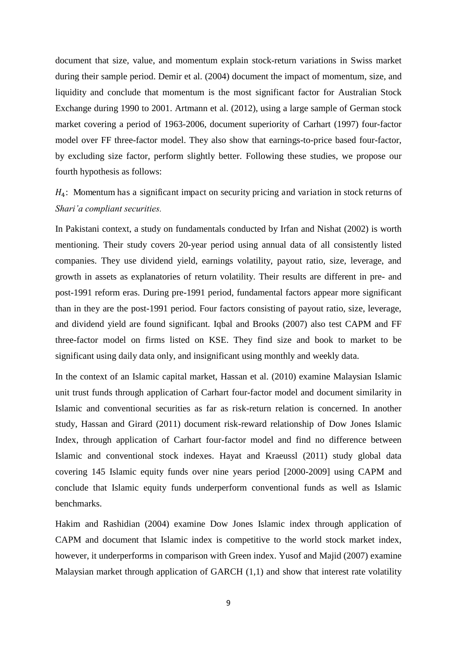document that size, value, and momentum explain stock-return variations in Swiss market during their sample period. Demir et al. (2004) document the impact of momentum, size, and liquidity and conclude that momentum is the most significant factor for Australian Stock Exchange during 1990 to 2001. Artmann et al. (2012), using a large sample of German stock market covering a period of 1963-2006, document superiority of Carhart (1997) four-factor model over FF three-factor model. They also show that earnings-to-price based four-factor, by excluding size factor, perform slightly better. Following these studies, we propose our fourth hypothesis as follows:

 $H_4$ : Momentum has a significant impact on security pricing and variation in stock returns of *Shari'a compliant securities.*

In Pakistani context, a study on fundamentals conducted by Irfan and Nishat (2002) is worth mentioning. Their study covers 20-year period using annual data of all consistently listed companies. They use dividend yield, earnings volatility, payout ratio, size, leverage, and growth in assets as explanatories of return volatility. Their results are different in pre- and post-1991 reform eras. During pre-1991 period, fundamental factors appear more significant than in they are the post-1991 period. Four factors consisting of payout ratio, size, leverage, and dividend yield are found significant. Iqbal and Brooks (2007) also test CAPM and FF three-factor model on firms listed on KSE. They find size and book to market to be significant using daily data only, and insignificant using monthly and weekly data.

In the context of an Islamic capital market, Hassan et al. (2010) examine Malaysian Islamic unit trust funds through application of Carhart four-factor model and document similarity in Islamic and conventional securities as far as risk-return relation is concerned. In another study, Hassan and Girard (2011) document risk-reward relationship of Dow Jones Islamic Index, through application of Carhart four-factor model and find no difference between Islamic and conventional stock indexes. Hayat and Kraeussl (2011) study global data covering 145 Islamic equity funds over nine years period [2000-2009] using CAPM and conclude that Islamic equity funds underperform conventional funds as well as Islamic benchmarks.

Hakim and Rashidian (2004) examine Dow Jones Islamic index through application of CAPM and document that Islamic index is competitive to the world stock market index, however, it underperforms in comparison with Green index. Yusof and Majid (2007) examine Malaysian market through application of GARCH (1,1) and show that interest rate volatility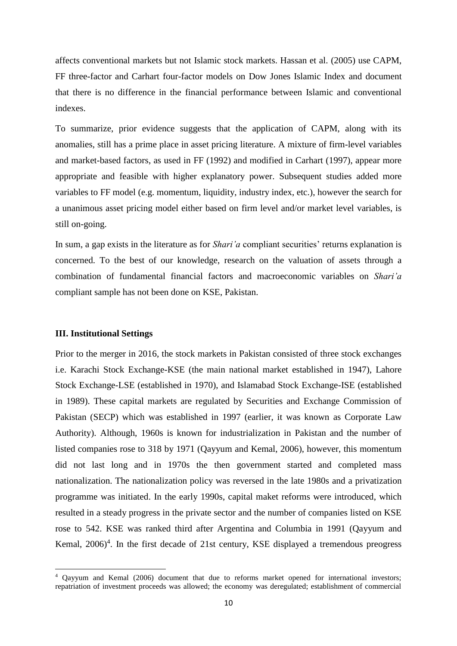affects conventional markets but not Islamic stock markets. Hassan et al. (2005) use CAPM, FF three-factor and Carhart four-factor models on Dow Jones Islamic Index and document that there is no difference in the financial performance between Islamic and conventional indexes.

To summarize, prior evidence suggests that the application of CAPM, along with its anomalies, still has a prime place in asset pricing literature. A mixture of firm-level variables and market-based factors, as used in FF (1992) and modified in Carhart (1997), appear more appropriate and feasible with higher explanatory power. Subsequent studies added more variables to FF model (e.g. momentum, liquidity, industry index, etc.), however the search for a unanimous asset pricing model either based on firm level and/or market level variables, is still on-going.

In sum, a gap exists in the literature as for *Shari'a* compliant securities' returns explanation is concerned. To the best of our knowledge, research on the valuation of assets through a combination of fundamental financial factors and macroeconomic variables on *Shari'a* compliant sample has not been done on KSE, Pakistan.

#### **III. Institutional Settings**

 $\overline{a}$ 

Prior to the merger in 2016, the stock markets in Pakistan consisted of three stock exchanges i.e. Karachi Stock Exchange-KSE (the main national market established in 1947), Lahore Stock Exchange-LSE (established in 1970), and Islamabad Stock Exchange-ISE (established in 1989). These capital markets are regulated by Securities and Exchange Commission of Pakistan (SECP) which was established in 1997 (earlier, it was known as Corporate Law Authority). Although, 1960s is known for industrialization in Pakistan and the number of listed companies rose to 318 by 1971 (Qayyum and Kemal, 2006), however, this momentum did not last long and in 1970s the then government started and completed mass nationalization. The nationalization policy was reversed in the late 1980s and a privatization programme was initiated. In the early 1990s, capital maket reforms were introduced, which resulted in a steady progress in the private sector and the number of companies listed on KSE rose to 542. KSE was ranked third after Argentina and Columbia in 1991 (Qayyum and Kemal, 2006)<sup>4</sup>. In the first decade of 21st century, KSE displayed a tremendous preogress

<sup>4</sup> Qayyum and Kemal (2006) document that due to reforms market opened for international investors; repatriation of investment proceeds was allowed; the economy was deregulated; establishment of commercial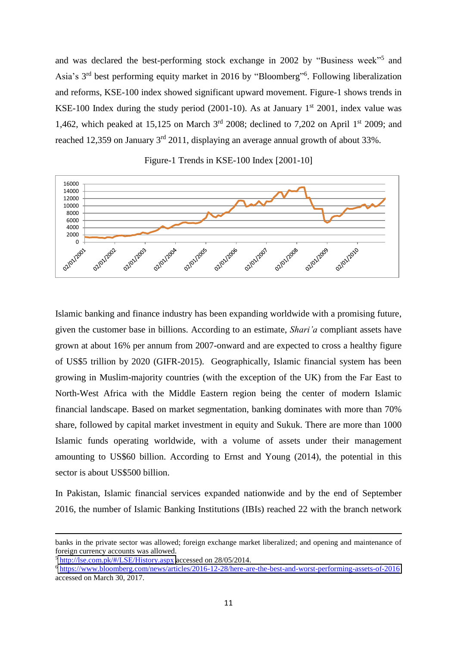and was declared the best-performing stock exchange in 2002 by "Business week"<sup>5</sup> and Asia's 3<sup>rd</sup> best performing equity market in 2016 by "Bloomberg"<sup>6</sup>. Following liberalization and reforms, KSE-100 index showed significant upward movement. Figure-1 shows trends in KSE-100 Index during the study period (2001-10). As at January  $1<sup>st</sup>$  2001, index value was 1,462, which peaked at 15,125 on March  $3<sup>rd</sup>$  2008; declined to 7,202 on April 1<sup>st</sup> 2009; and reached 12,359 on January  $3<sup>rd</sup>$  2011, displaying an average annual growth of about 33%.



#### Figure-1 Trends in KSE-100 Index [2001-10]

Islamic banking and finance industry has been expanding worldwide with a promising future, given the customer base in billions. According to an estimate, *Shari'a* compliant assets have grown at about 16% per annum from 2007-onward and are expected to cross a healthy figure of US\$5 trillion by 2020 (GIFR-2015). Geographically, Islamic financial system has been growing in Muslim-majority countries (with the exception of the UK) from the Far East to North-West Africa with the Middle Eastern region being the center of modern Islamic financial landscape. Based on market segmentation, banking dominates with more than 70% share, followed by capital market investment in equity and Sukuk. There are more than 1000 Islamic funds operating worldwide, with a volume of assets under their management amounting to US\$60 billion. According to Ernst and Young (2014), the potential in this sector is about US\$500 billion.

In Pakistan, Islamic financial services expanded nationwide and by the end of September 2016, the number of Islamic Banking Institutions (IBIs) reached 22 with the branch network

banks in the private sector was allowed; foreign exchange market liberalized; and opening and maintenance of foreign currency accounts was allowed.

<sup>5</sup> <http://lse.com.pk/#/LSE/History.aspx>accessed on 28/05/2014.

<sup>6</sup> <https://www.bloomberg.com/news/articles/2016-12-28/here-are-the-best-and-worst-performing-assets-of-2016> accessed on March 30, 2017.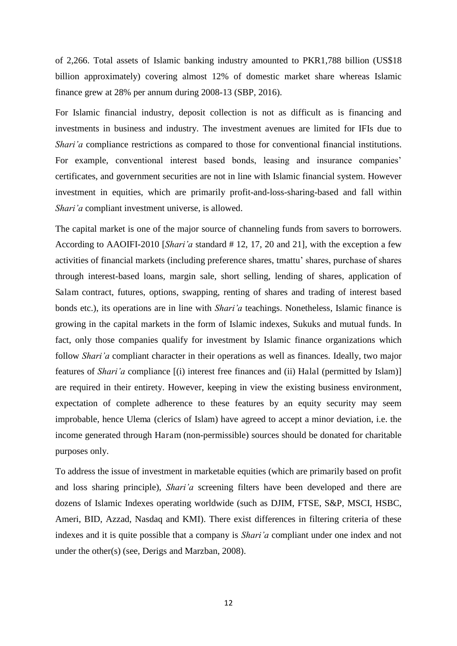of 2,266. Total assets of Islamic banking industry amounted to PKR1,788 billion (US\$18 billion approximately) covering almost 12% of domestic market share whereas Islamic finance grew at 28% per annum during 2008-13 (SBP, 2016).

For Islamic financial industry, deposit collection is not as difficult as is financing and investments in business and industry. The investment avenues are limited for IFIs due to *Shari'a* compliance restrictions as compared to those for conventional financial institutions. For example, conventional interest based bonds, leasing and insurance companies' certificates, and government securities are not in line with Islamic financial system. However investment in equities, which are primarily profit-and-loss-sharing-based and fall within *Shari'a* compliant investment universe, is allowed.

The capital market is one of the major source of channeling funds from savers to borrowers. According to AAOIFI-2010 [*Shari'a* standard # 12, 17, 20 and 21], with the exception a few activities of financial markets (including preference shares, tmattu' shares, purchase of shares through interest-based loans, margin sale, short selling, lending of shares, application of Salam contract, futures, options, swapping, renting of shares and trading of interest based bonds etc.), its operations are in line with *Shari'a* teachings. Nonetheless, Islamic finance is growing in the capital markets in the form of Islamic indexes, Sukuks and mutual funds. In fact, only those companies qualify for investment by Islamic finance organizations which follow *Shari'a* compliant character in their operations as well as finances. Ideally, two major features of *Shari'a* compliance [(i) interest free finances and (ii) Halal (permitted by Islam)] are required in their entirety. However, keeping in view the existing business environment, expectation of complete adherence to these features by an equity security may seem improbable, hence Ulema (clerics of Islam) have agreed to accept a minor deviation, i.e. the income generated through Haram (non-permissible) sources should be donated for charitable purposes only.

To address the issue of investment in marketable equities (which are primarily based on profit and loss sharing principle), *Shari'a* screening filters have been developed and there are dozens of Islamic Indexes operating worldwide (such as DJIM, FTSE, S&P, MSCI, HSBC, Ameri, BID, Azzad, Nasdaq and KMI). There exist differences in filtering criteria of these indexes and it is quite possible that a company is *Shari'a* compliant under one index and not under the other(s) (see, Derigs and Marzban, 2008).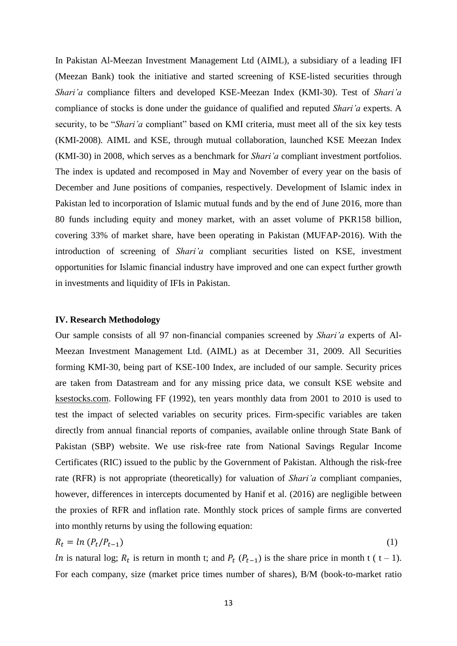In Pakistan Al-Meezan Investment Management Ltd (AIML), a subsidiary of a leading IFI (Meezan Bank) took the initiative and started screening of KSE-listed securities through *Shari'a* compliance filters and developed KSE-Meezan Index (KMI-30). Test of *Shari'a* compliance of stocks is done under the guidance of qualified and reputed *Shari'a* experts. A security, to be "*Shari'a* compliant" based on KMI criteria, must meet all of the six key tests (KMI-2008). AIML and KSE, through mutual collaboration, launched KSE Meezan Index (KMI-30) in 2008, which serves as a benchmark for *Shari'a* compliant investment portfolios. The index is updated and recomposed in May and November of every year on the basis of December and June positions of companies, respectively. Development of Islamic index in Pakistan led to incorporation of Islamic mutual funds and by the end of June 2016, more than 80 funds including equity and money market, with an asset volume of PKR158 billion, covering 33% of market share, have been operating in Pakistan (MUFAP-2016). With the introduction of screening of *Shari'a* compliant securities listed on KSE, investment opportunities for Islamic financial industry have improved and one can expect further growth in investments and liquidity of IFIs in Pakistan.

#### **IV. Research Methodology**

Our sample consists of all 97 non-financial companies screened by *Shari'a* experts of Al-Meezan Investment Management Ltd. (AIML) as at December 31, 2009. All Securities forming KMI-30, being part of KSE-100 Index, are included of our sample. Security prices are taken from Datastream and for any missing price data, we consult KSE website and ksestocks.com. Following FF (1992), ten years monthly data from 2001 to 2010 is used to test the impact of selected variables on security prices. Firm-specific variables are taken directly from annual financial reports of companies, available online through State Bank of Pakistan (SBP) website. We use risk-free rate from National Savings Regular Income Certificates (RIC) issued to the public by the Government of Pakistan. Although the risk-free rate (RFR) is not appropriate (theoretically) for valuation of *Shari'a* compliant companies, however, differences in intercepts documented by Hanif et al. (2016) are negligible between the proxies of RFR and inflation rate. Monthly stock prices of sample firms are converted into monthly returns by using the following equation:

$$
R_t = \ln \left( P_t / P_{t-1} \right) \tag{1}
$$

*ln* is natural log;  $R_t$  is return in month t; and  $P_t$  ( $P_{t-1}$ ) is the share price in month t ( t – 1). For each company, size (market price times number of shares), B/M (book-to-market ratio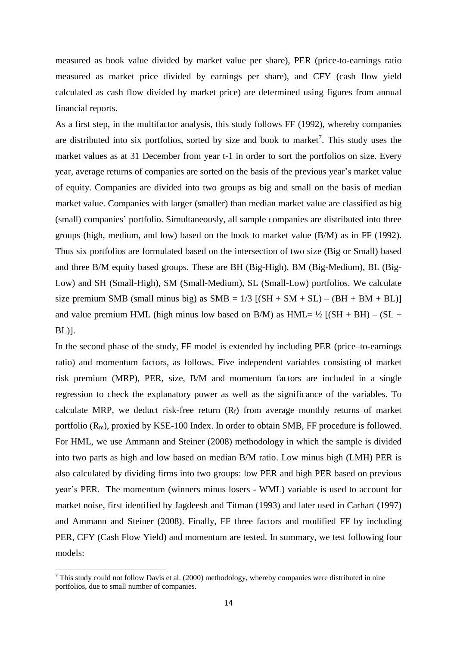measured as book value divided by market value per share), PER (price-to-earnings ratio measured as market price divided by earnings per share), and CFY (cash flow yield calculated as cash flow divided by market price) are determined using figures from annual financial reports.

As a first step, in the multifactor analysis, this study follows FF (1992), whereby companies are distributed into six portfolios, sorted by size and book to market<sup>7</sup>. This study uses the market values as at 31 December from year t-1 in order to sort the portfolios on size. Every year, average returns of companies are sorted on the basis of the previous year's market value of equity. Companies are divided into two groups as big and small on the basis of median market value. Companies with larger (smaller) than median market value are classified as big (small) companies' portfolio. Simultaneously, all sample companies are distributed into three groups (high, medium, and low) based on the book to market value (B/M) as in FF (1992). Thus six portfolios are formulated based on the intersection of two size (Big or Small) based and three B/M equity based groups. These are BH (Big-High), BM (Big-Medium), BL (Big-Low) and SH (Small-High), SM (Small-Medium), SL (Small-Low) portfolios. We calculate size premium SMB (small minus big) as  $SMB = 1/3$  [(SH + SM + SL) – (BH + BM + BL)] and value premium HML (high minus low based on B/M) as  $HML = \frac{1}{2}$  [(SH + BH) – (SL + BL)].

In the second phase of the study, FF model is extended by including PER (price–to-earnings ratio) and momentum factors, as follows. Five independent variables consisting of market risk premium (MRP), PER, size, B/M and momentum factors are included in a single regression to check the explanatory power as well as the significance of the variables. To calculate MRP, we deduct risk-free return  $(R_f)$  from average monthly returns of market portfolio  $(R_m)$ , proxied by KSE-100 Index. In order to obtain SMB, FF procedure is followed. For HML, we use Ammann and Steiner (2008) methodology in which the sample is divided into two parts as high and low based on median B/M ratio. Low minus high (LMH) PER is also calculated by dividing firms into two groups: low PER and high PER based on previous year's PER. The momentum (winners minus losers - WML) variable is used to account for market noise, first identified by Jagdeesh and Titman (1993) and later used in Carhart (1997) and Ammann and Steiner (2008). Finally, FF three factors and modified FF by including PER, CFY (Cash Flow Yield) and momentum are tested. In summary, we test following four models:

<sup>&</sup>lt;sup>7</sup> This study could not follow Davis et al. (2000) methodology, whereby companies were distributed in nine portfolios, due to small number of companies.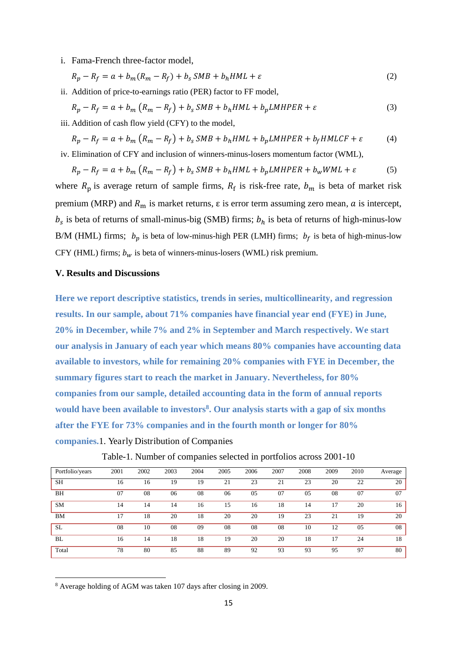i. Fama-French three-factor model,

$$
R_p - R_f = a + b_m(R_m - R_f) + b_s \, \mathcal{S}MB + b_h \, \mathcal{H}ML + \varepsilon \tag{2}
$$

ii. Addition of price-to-earnings ratio (PER) factor to FF model,

$$
R_p - R_f = a + b_m \left( R_m - R_f \right) + b_s \, SMB + b_h HML + b_p LMHPER + \varepsilon \tag{3}
$$

iii. Addition of cash flow yield (CFY) to the model,

$$
R_p - R_f = a + b_m (R_m - R_f) + b_s \, SMB + b_h HML + b_p LMHPER + b_f HMLCF + \varepsilon \tag{4}
$$

iv. Elimination of CFY and inclusion of winners-minus-losers momentum factor (WML),

$$
R_p - R_f = a + b_m (R_m - R_f) + b_s \, \text{SMB} + b_h \, \text{HML} + b_p \, \text{LMHPER} + b_w \, \text{WML} + \varepsilon \tag{5}
$$

where  $R_p$  is average return of sample firms,  $R_f$  is risk-free rate,  $b_m$  is beta of market risk premium (MRP) and  $R_m$  is market returns,  $\varepsilon$  is error term assuming zero mean,  $\alpha$  is intercept,  $b_s$  is beta of returns of small-minus-big (SMB) firms;  $b_h$  is beta of returns of high-minus-low B/M (HML) firms;  $b_p$  is beta of low-minus-high PER (LMH) firms;  $b_f$  is beta of high-minus-low CFY (HML) firms;  $b_w$  is beta of winners-minus-losers (WML) risk premium.

#### **V. Results and Discussions**

**Here we report descriptive statistics, trends in series, multicollinearity, and regression results. In our sample, about 71% companies have financial year end (FYE) in June, 20% in December, while 7% and 2% in September and March respectively. We start our analysis in January of each year which means 80% companies have accounting data available to investors, while for remaining 20% companies with FYE in December, the summary figures start to reach the market in January. Nevertheless, for 80% companies from our sample, detailed accounting data in the form of annual reports would have been available to investors<sup>8</sup> . Our analysis starts with a gap of six months after the FYE for 73% companies and in the fourth month or longer for 80% companies.**1. Yearly Distribution of Companies

| Portfolio/years | 2001 | 2002 | 2003 | 2004 | 2005 | 2006 | 2007 | 2008 | 2009 | 2010 | Average |
|-----------------|------|------|------|------|------|------|------|------|------|------|---------|
| SH              | 16   | 16   | 19   | 19   | 21   | 23   | 21   | 23   | 20   | 22   | 20      |
| BH              | 07   | 08   | 06   | 08   | 06   | 05   | 07   | 05   | 08   | 07   | 07      |
| <b>SM</b>       | 14   | 14   | 14   | 16   | 15   | 16   | 18   | 14   | 17   | 20   | 16      |
| <b>BM</b>       | 17   | 18   | 20   | 18   | 20   | 20   | 19   | 23   | 21   | 19   | 20      |
| <b>SL</b>       | 08   | 10   | 08   | 09   | 08   | 08   | 08   | 10   | 12   | 05   | 08      |
| <b>BL</b>       | 16   | 14   | 18   | 18   | 19   | 20   | 20   | 18   | 17   | 24   | 18      |
| Total           | 78   | 80   | 85   | 88   | 89   | 92   | 93   | 93   | 95   | 97   | 80      |

Table-1. Number of companies selected in portfolios across 2001-10

<sup>8</sup> Average holding of AGM was taken 107 days after closing in 2009.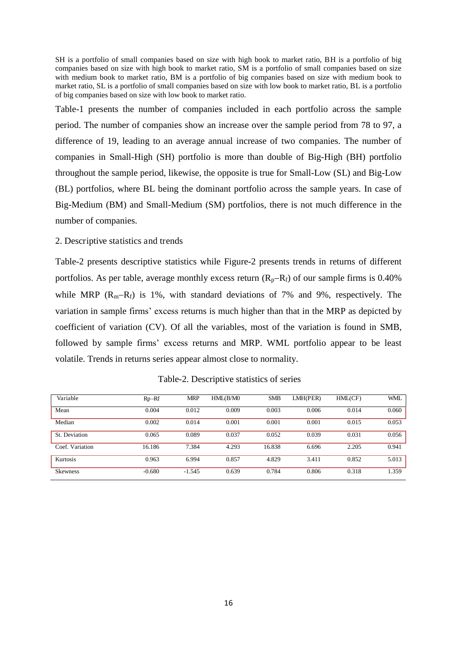SH is a portfolio of small companies based on size with high book to market ratio, BH is a portfolio of big companies based on size with high book to market ratio, SM is a portfolio of small companies based on size with medium book to market ratio, BM is a portfolio of big companies based on size with medium book to market ratio, SL is a portfolio of small companies based on size with low book to market ratio, BL is a portfolio of big companies based on size with low book to market ratio.

Table-1 presents the number of companies included in each portfolio across the sample period. The number of companies show an increase over the sample period from 78 to 97, a difference of 19, leading to an average annual increase of two companies. The number of companies in Small-High (SH) portfolio is more than double of Big-High (BH) portfolio throughout the sample period, likewise, the opposite is true for Small-Low (SL) and Big-Low (BL) portfolios, where BL being the dominant portfolio across the sample years. In case of Big-Medium (BM) and Small-Medium (SM) portfolios, there is not much difference in the number of companies.

#### 2. Descriptive statistics and trends

Table-2 presents descriptive statistics while Figure-2 presents trends in returns of different portfolios. As per table, average monthly excess return  $(R_p-R_f)$  of our sample firms is 0.40% while MRP  $(R_m-R_f)$  is 1%, with standard deviations of 7% and 9%, respectively. The variation in sample firms' excess returns is much higher than that in the MRP as depicted by coefficient of variation (CV). Of all the variables, most of the variation is found in SMB, followed by sample firms' excess returns and MRP. WML portfolio appear to be least volatile. Trends in returns series appear almost close to normality.

| Variable        | $Rp-RF$  | <b>MRP</b> | HML(B/M0 | <b>SMB</b> | LMH(PER) | HML(CF) | WML   |
|-----------------|----------|------------|----------|------------|----------|---------|-------|
| Mean            | 0.004    | 0.012      | 0.009    | 0.003      | 0.006    | 0.014   | 0.060 |
| Median          | 0.002    | 0.014      | 0.001    | 0.001      | 0.001    | 0.015   | 0.053 |
| St. Deviation   | 0.065    | 0.089      | 0.037    | 0.052      | 0.039    | 0.031   | 0.056 |
| Coef. Variation | 16.186   | 7.384      | 4.293    | 16.838     | 6.696    | 2.205   | 0.941 |
| Kurtosis        | 0.963    | 6.994      | 0.857    | 4.829      | 3.411    | 0.852   | 5.013 |
| <b>Skewness</b> | $-0.680$ | $-1.545$   | 0.639    | 0.784      | 0.806    | 0.318   | 1.359 |

Table-2. Descriptive statistics of series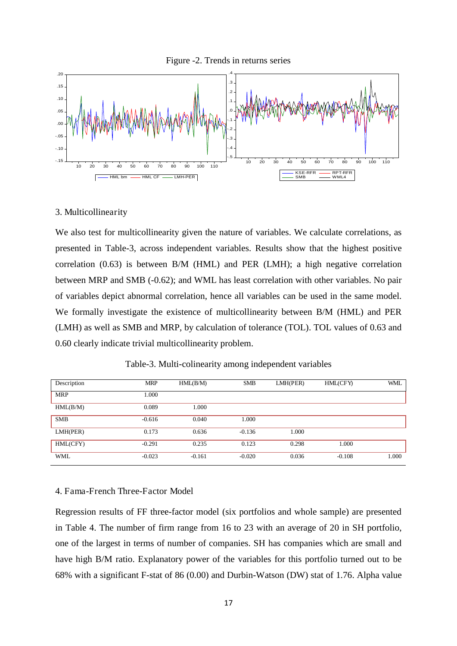



#### 3. Multicollinearity

We also test for multicollinearity given the nature of variables. We calculate correlations, as presented in Table-3, across independent variables. Results show that the highest positive correlation (0.63) is between B/M (HML) and PER (LMH); a high negative correlation between MRP and SMB (-0.62); and WML has least correlation with other variables. No pair of variables depict abnormal correlation, hence all variables can be used in the same model. We formally investigate the existence of multicollinearity between B/M (HML) and PER (LMH) as well as SMB and MRP, by calculation of tolerance (TOL). TOL values of 0.63 and 0.60 clearly indicate trivial multicollinearity problem.

| Description | <b>MRP</b> | HML(B/M) | <b>SMB</b> | LMH(PER) | HML(CFY) | <b>WML</b> |
|-------------|------------|----------|------------|----------|----------|------------|
| <b>MRP</b>  | 1.000      |          |            |          |          |            |
| HML(B/M)    | 0.089      | 1.000    |            |          |          |            |
| <b>SMB</b>  | $-0.616$   | 0.040    | 1.000      |          |          |            |
| LMH(PER)    | 0.173      | 0.636    | $-0.136$   | 1.000    |          |            |
| HML(CFY)    | $-0.291$   | 0.235    | 0.123      | 0.298    | 1.000    |            |
| <b>WML</b>  | $-0.023$   | $-0.161$ | $-0.020$   | 0.036    | $-0.108$ | 1.000      |

Table-3. Multi-colinearity among independent variables

#### 4. Fama-French Three-Factor Model

Regression results of FF three-factor model (six portfolios and whole sample) are presented in Table 4. The number of firm range from 16 to 23 with an average of 20 in SH portfolio, one of the largest in terms of number of companies. SH has companies which are small and have high B/M ratio. Explanatory power of the variables for this portfolio turned out to be 68% with a significant F-stat of 86 (0.00) and Durbin-Watson (DW) stat of 1.76. Alpha value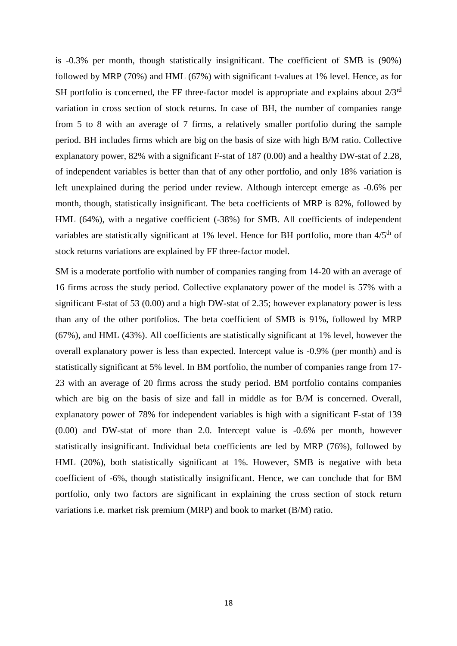is -0.3% per month, though statistically insignificant. The coefficient of SMB is (90%) followed by MRP (70%) and HML (67%) with significant t-values at 1% level. Hence, as for SH portfolio is concerned, the FF three-factor model is appropriate and explains about  $2/3<sup>rd</sup>$ variation in cross section of stock returns. In case of BH, the number of companies range from 5 to 8 with an average of 7 firms, a relatively smaller portfolio during the sample period. BH includes firms which are big on the basis of size with high B/M ratio. Collective explanatory power, 82% with a significant F-stat of 187 (0.00) and a healthy DW-stat of 2.28, of independent variables is better than that of any other portfolio, and only 18% variation is left unexplained during the period under review. Although intercept emerge as -0.6% per month, though, statistically insignificant. The beta coefficients of MRP is 82%, followed by HML (64%), with a negative coefficient (-38%) for SMB. All coefficients of independent variables are statistically significant at 1% level. Hence for BH portfolio, more than  $4/5<sup>th</sup>$  of stock returns variations are explained by FF three-factor model.

SM is a moderate portfolio with number of companies ranging from 14-20 with an average of 16 firms across the study period. Collective explanatory power of the model is 57% with a significant F-stat of 53 (0.00) and a high DW-stat of 2.35; however explanatory power is less than any of the other portfolios. The beta coefficient of SMB is 91%, followed by MRP (67%), and HML (43%). All coefficients are statistically significant at 1% level, however the overall explanatory power is less than expected. Intercept value is -0.9% (per month) and is statistically significant at 5% level. In BM portfolio, the number of companies range from 17- 23 with an average of 20 firms across the study period. BM portfolio contains companies which are big on the basis of size and fall in middle as for B/M is concerned. Overall, explanatory power of 78% for independent variables is high with a significant F-stat of 139 (0.00) and DW-stat of more than 2.0. Intercept value is -0.6% per month, however statistically insignificant. Individual beta coefficients are led by MRP (76%), followed by HML (20%), both statistically significant at 1%. However, SMB is negative with beta coefficient of -6%, though statistically insignificant. Hence, we can conclude that for BM portfolio, only two factors are significant in explaining the cross section of stock return variations i.e. market risk premium (MRP) and book to market (B/M) ratio.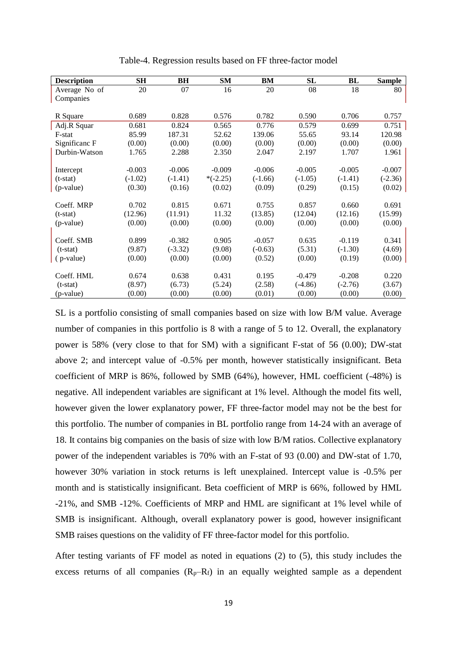| <b>Description</b> | SH        | BH        | <b>SM</b>  | BM        | <b>SL</b> | BL        | <b>Sample</b> |
|--------------------|-----------|-----------|------------|-----------|-----------|-----------|---------------|
| Average No of      | 20        | 07        | 16         | 20        | 08        | 18        | 80            |
| Companies          |           |           |            |           |           |           |               |
|                    |           |           |            |           |           |           |               |
| R Square           | 0.689     | 0.828     | 0.576      | 0.782     | 0.590     | 0.706     | 0.757         |
| Adj.R Squar        | 0.681     | 0.824     | 0.565      | 0.776     | 0.579     | 0.699     | 0.751         |
| F-stat             | 85.99     | 187.31    | 52.62      | 139.06    | 55.65     | 93.14     | 120.98        |
| Significanc F      | (0.00)    | (0.00)    | (0.00)     | (0.00)    | (0.00)    | (0.00)    | (0.00)        |
| Durbin-Watson      | 1.765     | 2.288     | 2.350      | 2.047     | 2.197     | 1.707     | 1.961         |
|                    |           |           |            |           |           |           |               |
| Intercept          | $-0.003$  | $-0.006$  | $-0.009$   | $-0.006$  | $-0.005$  | $-0.005$  | $-0.007$      |
| $(t-stat)$         | $(-1.02)$ | $(-1.41)$ | $*(-2.25)$ | $(-1.66)$ | $(-1.05)$ | $(-1.41)$ | $(-2.36)$     |
| (p-value)          | (0.30)    | (0.16)    | (0.02)     | (0.09)    | (0.29)    | (0.15)    | (0.02)        |
|                    |           |           |            |           |           |           |               |
| Coeff. MRP         | 0.702     | 0.815     | 0.671      | 0.755     | 0.857     | 0.660     | 0.691         |
| $(t-stat)$         | (12.96)   | (11.91)   | 11.32      | (13.85)   | (12.04)   | (12.16)   | (15.99)       |
| (p-value)          | (0.00)    | (0.00)    | (0.00)     | (0.00)    | (0.00)    | (0.00)    | (0.00)        |
|                    |           |           |            |           |           |           |               |
| Coeff. SMB         | 0.899     | $-0.382$  | 0.905      | $-0.057$  | 0.635     | $-0.119$  | 0.341         |
| $(t-stat)$         | (9.87)    | $(-3.32)$ | (9.08)     | $(-0.63)$ | (5.31)    | $(-1.30)$ | (4.69)        |
| (p-value)          | (0.00)    | (0.00)    | (0.00)     | (0.52)    | (0.00)    | (0.19)    | (0.00)        |
|                    |           |           |            |           |           |           |               |
| Coeff. HML         | 0.674     | 0.638     | 0.431      | 0.195     | $-0.479$  | $-0.208$  | 0.220         |
| $(t-stat)$         | (8.97)    | (6.73)    | (5.24)     | (2.58)    | $(-4.86)$ | $(-2.76)$ | (3.67)        |
| (p-value)          | (0.00)    | (0.00)    | (0.00)     | (0.01)    | (0.00)    | (0.00)    | (0.00)        |

Table-4. Regression results based on FF three-factor model

SL is a portfolio consisting of small companies based on size with low B/M value. Average number of companies in this portfolio is 8 with a range of 5 to 12. Overall, the explanatory power is 58% (very close to that for SM) with a significant F-stat of 56 (0.00); DW-stat above 2; and intercept value of -0.5% per month, however statistically insignificant. Beta coefficient of MRP is 86%, followed by SMB (64%), however, HML coefficient (-48%) is negative. All independent variables are significant at 1% level. Although the model fits well, however given the lower explanatory power, FF three-factor model may not be the best for this portfolio. The number of companies in BL portfolio range from 14-24 with an average of 18. It contains big companies on the basis of size with low B/M ratios. Collective explanatory power of the independent variables is 70% with an F-stat of 93 (0.00) and DW-stat of 1.70, however 30% variation in stock returns is left unexplained. Intercept value is -0.5% per month and is statistically insignificant. Beta coefficient of MRP is 66%, followed by HML -21%, and SMB -12%. Coefficients of MRP and HML are significant at 1% level while of SMB is insignificant. Although, overall explanatory power is good, however insignificant SMB raises questions on the validity of FF three-factor model for this portfolio.

After testing variants of FF model as noted in equations (2) to (5), this study includes the excess returns of all companies  $(R_p-R_f)$  in an equally weighted sample as a dependent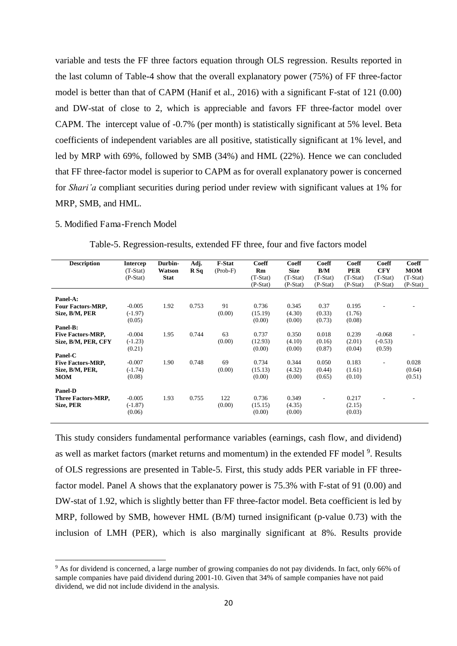variable and tests the FF three factors equation through OLS regression. Results reported in the last column of Table-4 show that the overall explanatory power (75%) of FF three-factor model is better than that of CAPM (Hanif et al., 2016) with a significant F-stat of 121 (0.00) and DW-stat of close to 2, which is appreciable and favors FF three-factor model over CAPM. The intercept value of -0.7% (per month) is statistically significant at 5% level. Beta coefficients of independent variables are all positive, statistically significant at 1% level, and led by MRP with 69%, followed by SMB (34%) and HML (22%). Hence we can concluded that FF three-factor model is superior to CAPM as for overall explanatory power is concerned for *Shari'a* compliant securities during period under review with significant values at 1% for MRP, SMB, and HML.

#### 5. Modified Fama-French Model

 $\overline{a}$ 

| <b>Description</b>                                                     | <b>Intercep</b><br>$(T-Stat)$<br>$(P-Stat)$ | Durbin-<br>Watson<br><b>Stat</b> | Adj.<br>R Sq | <b>F-Stat</b><br>$(Prob-F)$ | Coeff<br>Rm<br>$(T-Stat)$<br>$(P-Stat)$ | Coeff<br><b>Size</b><br>$(T-Stat)$<br>$(P-Stat)$ | Coeff<br>B/M<br>$(T-Stat)$<br>$(P-Stat)$ | <b>Coeff</b><br><b>PER</b><br>$(T-Stat)$<br>$(P-Stat)$ | Coeff<br><b>CFY</b><br>$(T-Stat)$<br>$(P-Stat)$ | Coeff<br><b>MOM</b><br>$(T-Stat)$<br>$(P-Stat)$ |
|------------------------------------------------------------------------|---------------------------------------------|----------------------------------|--------------|-----------------------------|-----------------------------------------|--------------------------------------------------|------------------------------------------|--------------------------------------------------------|-------------------------------------------------|-------------------------------------------------|
| Panel-A:<br>Four Factors-MRP,<br>Size, B/M, PER                        | $-0.005$<br>$(-1.97)$<br>(0.05)             | 1.92                             | 0.753        | 91<br>(0.00)                | 0.736<br>(15.19)<br>(0.00)              | 0.345<br>(4.30)<br>(0.00)                        | 0.37<br>(0.33)<br>(0.73)                 | 0.195<br>(1.76)<br>(0.08)                              |                                                 |                                                 |
| Panel-B:<br><b>Five Factors-MRP,</b><br>Size, B/M, PER, CFY<br>Panel-C | $-0.004$<br>$(-1.23)$<br>(0.21)             | 1.95                             | 0.744        | 63<br>(0.00)                | 0.737<br>(12.93)<br>(0.00)              | 0.350<br>(4.10)<br>(0.00)                        | 0.018<br>(0.16)<br>(0.87)                | 0.239<br>(2.01)<br>(0.04)                              | $-0.068$<br>$(-0.53)$<br>(0.59)                 |                                                 |
| <b>Five Factors-MRP,</b><br>Size, B/M, PER,<br><b>MOM</b>              | $-0.007$<br>$(-1.74)$<br>(0.08)             | 1.90                             | 0.748        | 69<br>(0.00)                | 0.734<br>(15.13)<br>(0.00)              | 0.344<br>(4.32)<br>(0.00)                        | 0.050<br>(0.44)<br>(0.65)                | 0.183<br>(1.61)<br>(0.10)                              | $\overline{\phantom{a}}$                        | 0.028<br>(0.64)<br>(0.51)                       |
| <b>Panel-D</b><br><b>Three Factors-MRP,</b><br>Size, PER               | $-0.005$<br>$(-1.87)$<br>(0.06)             | 1.93                             | 0.755        | 122<br>(0.00)               | 0.736<br>(15.15)<br>(0.00)              | 0.349<br>(4.35)<br>(0.00)                        | ۰                                        | 0.217<br>(2.15)<br>(0.03)                              |                                                 |                                                 |

This study considers fundamental performance variables (earnings, cash flow, and dividend) as well as market factors (market returns and momentum) in the extended FF model <sup>9</sup>. Results of OLS regressions are presented in Table-5. First, this study adds PER variable in FF threefactor model. Panel A shows that the explanatory power is 75.3% with F-stat of 91 (0.00) and DW-stat of 1.92, which is slightly better than FF three-factor model. Beta coefficient is led by MRP, followed by SMB, however HML (B/M) turned insignificant (p-value 0.73) with the inclusion of LMH (PER), which is also marginally significant at 8%. Results provide

<sup>&</sup>lt;sup>9</sup> As for dividend is concerned, a large number of growing companies do not pay dividends. In fact, only 66% of sample companies have paid dividend during 2001-10. Given that 34% of sample companies have not paid dividend, we did not include dividend in the analysis.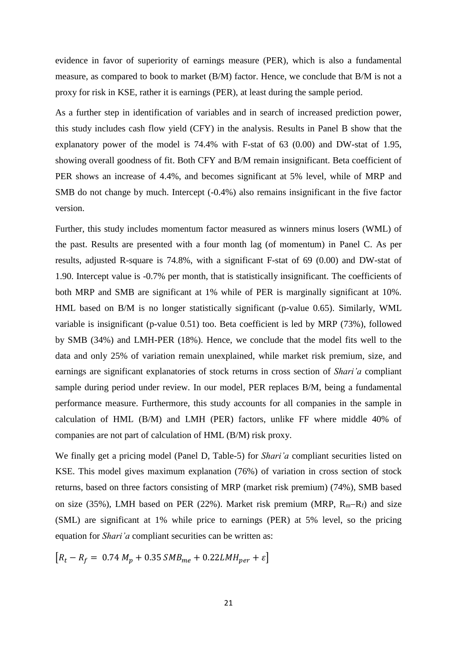evidence in favor of superiority of earnings measure (PER), which is also a fundamental measure, as compared to book to market (B/M) factor. Hence, we conclude that B/M is not a proxy for risk in KSE, rather it is earnings (PER), at least during the sample period.

As a further step in identification of variables and in search of increased prediction power, this study includes cash flow yield (CFY) in the analysis. Results in Panel B show that the explanatory power of the model is 74.4% with F-stat of 63 (0.00) and DW-stat of 1.95, showing overall goodness of fit. Both CFY and B/M remain insignificant. Beta coefficient of PER shows an increase of 4.4%, and becomes significant at 5% level, while of MRP and SMB do not change by much. Intercept  $(-0.4%)$  also remains insignificant in the five factor version.

Further, this study includes momentum factor measured as winners minus losers (WML) of the past. Results are presented with a four month lag (of momentum) in Panel C. As per results, adjusted R-square is 74.8%, with a significant F-stat of 69 (0.00) and DW-stat of 1.90. Intercept value is -0.7% per month, that is statistically insignificant. The coefficients of both MRP and SMB are significant at 1% while of PER is marginally significant at 10%. HML based on B/M is no longer statistically significant (p-value 0.65). Similarly, WML variable is insignificant (p-value 0.51) too. Beta coefficient is led by MRP (73%), followed by SMB (34%) and LMH-PER (18%). Hence, we conclude that the model fits well to the data and only 25% of variation remain unexplained, while market risk premium, size, and earnings are significant explanatories of stock returns in cross section of *Shari'a* compliant sample during period under review. In our model, PER replaces B/M, being a fundamental performance measure. Furthermore, this study accounts for all companies in the sample in calculation of HML (B/M) and LMH (PER) factors, unlike FF where middle 40% of companies are not part of calculation of HML (B/M) risk proxy.

We finally get a pricing model (Panel D, Table-5) for *Shari'a* compliant securities listed on KSE. This model gives maximum explanation (76%) of variation in cross section of stock returns, based on three factors consisting of MRP (market risk premium) (74%), SMB based on size (35%), LMH based on PER (22%). Market risk premium (MRP,  $R_m-R_f$ ) and size (SML) are significant at 1% while price to earnings (PER) at 5% level, so the pricing equation for *Shari'a* compliant securities can be written as:

$$
[R_t - R_f = 0.74 M_p + 0.35 SMB_{me} + 0.22 LMH_{per} + \varepsilon]
$$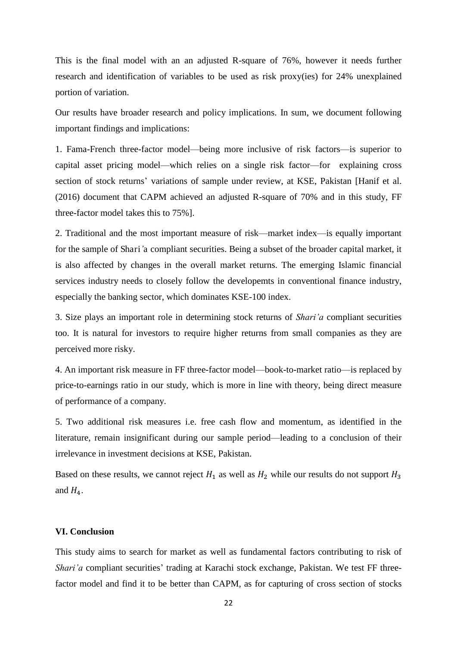This is the final model with an an adjusted R-square of 76%, however it needs further research and identification of variables to be used as risk proxy(ies) for 24% unexplained portion of variation.

Our results have broader research and policy implications. In sum, we document following important findings and implications:

1. Fama-French three-factor model—being more inclusive of risk factors—is superior to capital asset pricing model—which relies on a single risk factor—for explaining cross section of stock returns' variations of sample under review, at KSE, Pakistan [Hanif et al. (2016) document that CAPM achieved an adjusted R-square of 70% and in this study, FF three-factor model takes this to 75%].

2. Traditional and the most important measure of risk—market index—is equally important for the sample of Shari*'*a compliant securities. Being a subset of the broader capital market, it is also affected by changes in the overall market returns. The emerging Islamic financial services industry needs to closely follow the developemts in conventional finance industry, especially the banking sector, which dominates KSE-100 index.

3. Size plays an important role in determining stock returns of *Shari'a* compliant securities too. It is natural for investors to require higher returns from small companies as they are perceived more risky.

4. An important risk measure in FF three-factor model—book-to-market ratio—is replaced by price-to-earnings ratio in our study, which is more in line with theory, being direct measure of performance of a company.

5. Two additional risk measures i.e. free cash flow and momentum, as identified in the literature, remain insignificant during our sample period—leading to a conclusion of their irrelevance in investment decisions at KSE, Pakistan.

Based on these results, we cannot reject  $H_1$  as well as  $H_2$  while our results do not support  $H_3$ and  $H_4$ .

#### **VI. Conclusion**

This study aims to search for market as well as fundamental factors contributing to risk of *Shari'a* compliant securities' trading at Karachi stock exchange, Pakistan. We test FF threefactor model and find it to be better than CAPM, as for capturing of cross section of stocks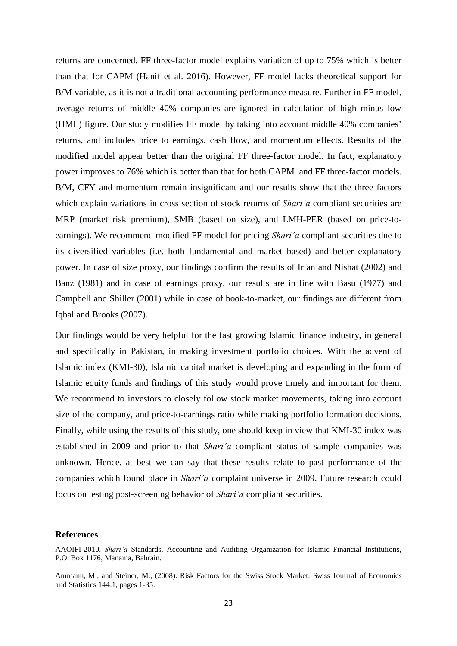returns are concerned. FF three-factor model explains variation of up to 75% which is better than that for CAPM (Hanif et al. 2016). However, FF model lacks theoretical support for B/M variable, as it is not a traditional accounting performance measure. Further in FF model, average returns of middle 40% companies are ignored in calculation of high minus low (HML) figure. Our study modifies FF model by taking into account middle 40% companies' returns, and includes price to earnings, cash flow, and momentum effects. Results of the modified model appear better than the original FF three-factor model. In fact, explanatory power improves to 76% which is better than that for both CAPM and FF three-factor models. B/M, CFY and momentum remain insignificant and our results show that the three factors which explain variations in cross section of stock returns of *Shari'a* compliant securities are MRP (market risk premium), SMB (based on size), and LMH-PER (based on price-toearnings). We recommend modified FF model for pricing *Shari'a* compliant securities due to its diversified variables (i.e. both fundamental and market based) and better explanatory power. In case of size proxy, our findings confirm the results of Irfan and Nishat (2002) and Banz (1981) and in case of earnings proxy, our results are in line with Basu (1977) and Campbell and Shiller (2001) while in case of book-to-market, our findings are different from Iqbal and Brooks (2007).

Our findings would be very helpful for the fast growing Islamic finance industry, in general and specifically in Pakistan, in making investment portfolio choices. With the advent of Islamic index (KMI-30), Islamic capital market is developing and expanding in the form of Islamic equity funds and findings of this study would prove timely and important for them. We recommend to investors to closely follow stock market movements, taking into account size of the company, and price-to-earnings ratio while making portfolio formation decisions. Finally, while using the results of this study, one should keep in view that KMI-30 index was established in 2009 and prior to that *Shari'a* compliant status of sample companies was unknown. Hence, at best we can say that these results relate to past performance of the companies which found place in *Shari'a* complaint universe in 2009. Future research could focus on testing post-screening behavior of *Shari'a* compliant securities.

#### **References**

AAOIFI-2010. *Shari'a* Standards. Accounting and Auditing Organization for Islamic Financial Institutions, P.O. Box 1176, Manama, Bahrain.

Ammann, M., and Steiner, M., (2008). Risk Factors for the Swiss Stock Market. Swiss Journal of Economics and Statistics 144:1, pages 1-35.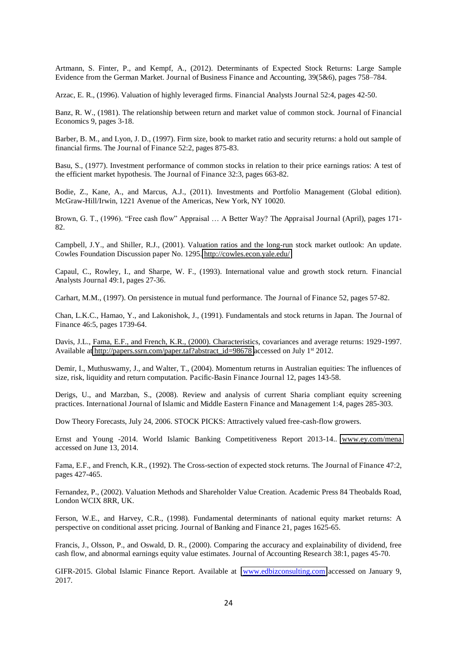Artmann, S. Finter, P., and Kempf, A., (2012). Determinants of Expected Stock Returns: Large Sample Evidence from the German Market. Journal of Business Finance and Accounting, 39(5&6), pages 758–784.

Arzac, E. R., (1996). Valuation of highly leveraged firms. Financial Analysts Journal 52:4, pages 42-50.

Banz, R. W., (1981). The relationship between return and market value of common stock. Journal of Financial Economics 9, pages 3-18.

Barber, B. M., and Lyon, J. D., (1997). Firm size, book to market ratio and security returns: a hold out sample of financial firms. The Journal of Finance 52:2, pages 875-83.

Basu, S., (1977). Investment performance of common stocks in relation to their price earnings ratios: A test of the efficient market hypothesis. The Journal of Finance 32:3, pages 663-82.

Bodie, Z., Kane, A., and Marcus, A.J., (2011). Investments and Portfolio Management (Global edition). McGraw-Hill/Irwin, 1221 Avenue of the Americas, New York, NY 10020.

Brown, G. T., (1996). "Free cash flow" Appraisal … A Better Way? The Appraisal Journal (April), pages 171- 82.

Campbell, J.Y., and Shiller, R.J., (2001). Valuation ratios and the long-run stock market outlook: An update. Cowles Foundation Discussion paper No. 1295.<http://cowles.econ.yale.edu/>

Capaul, C., Rowley, I., and Sharpe, W. F., (1993). International value and growth stock return. Financial Analysts Journal 49:1, pages 27-36.

Carhart, M.M., (1997). On persistence in mutual fund performance. The Journal of Finance 52, pages 57-82.

Chan, L.K.C., Hamao, Y., and Lakonishok, J., (1991). Fundamentals and stock returns in Japan. The Journal of Finance 46:5, pages 1739-64.

Davis, J.L., Fama, E.F., and French, K.R., (2000). Characteristics, covariances and average returns: 1929-1997. Available at [http://papers.ssrn.com/paper.taf?abstract\\_id=98678](http://papers.ssrn.com/paper.taf?abstract_id=98678) accessed on July 1st 2012.

Demir, I., Muthuswamy, J., and Walter, T., (2004). Momentum returns in Australian equities: The influences of size, risk, liquidity and return computation. Pacific-Basin Finance Journal 12, pages 143-58.

Derigs, U., and Marzban, S., (2008). Review and analysis of current Sharia compliant equity screening practices. International Journal of Islamic and Middle Eastern Finance and Management 1:4, pages 285-303.

Dow Theory Forecasts, July 24, 2006. STOCK PICKS: Attractively valued free-cash-flow growers.

Ernst and Young -2014. World Islamic Banking Competitiveness Report 2013-14.. [www.ey.com/mena](http://www.ey.com/mena)  accessed on June 13, 2014.

Fama, E.F., and French, K.R., (1992). The Cross-section of expected stock returns. The Journal of Finance 47:2, pages 427-465.

Fernandez, P., (2002). Valuation Methods and Shareholder Value Creation. Academic Press 84 Theobalds Road, London WCIX 8RR, UK.

Ferson, W.E., and Harvey, C.R., (1998). Fundamental determinants of national equity market returns: A perspective on conditional asset pricing. Journal of Banking and Finance 21, pages 1625-65.

Francis, J., Olsson, P., and Oswald, D. R., (2000). Comparing the accuracy and explainability of dividend, free cash flow, and abnormal earnings equity value estimates. Journal of Accounting Research 38:1, pages 45-70.

GIFR-2015. Global Islamic Finance Report. Available at [www.edbizconsulting.com](http://www.edbizconsulting.com/) accessed on January 9, 2017.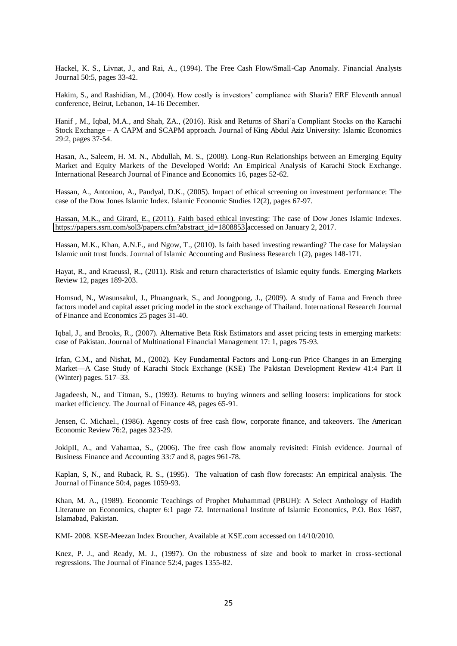Hackel, K. S., Livnat, J., and Rai, A., (1994). The Free Cash Flow/Small-Cap Anomaly. Financial Analysts Journal 50:5, pages 33-42.

Hakim, S., and Rashidian, M., (2004). How costly is investors' compliance with Sharia? ERF Eleventh annual conference, Beirut, Lebanon, 14-16 December.

Hanif , M., Iqbal, M.A., and Shah, ZA., (2016). Risk and Returns of Shari'a Compliant Stocks on the Karachi Stock Exchange – A CAPM and SCAPM approach. Journal of King Abdul Aziz University: Islamic Economics 29:2, pages 37-54.

Hasan, A., Saleem, H. M. N., Abdullah, M. S., (2008). Long-Run Relationships between an Emerging Equity Market and Equity Markets of the Developed World: An Empirical Analysis of Karachi Stock Exchange. International Research Journal of Finance and Economics 16, pages 52-62.

Hassan, A., Antoniou, A., Paudyal, D.K., (2005). Impact of ethical screening on investment performance: The case of the Dow Jones Islamic Index. Islamic Economic Studies 12(2), pages 67-97.

Hassan, M.K., and Girard, E., (2011). Faith based ethical investing: The case of Dow Jones Islamic Indexes. [https://papers.ssrn.com/sol3/papers.cfm?abstract\\_id=1808853](https://papers.ssrn.com/sol3/papers.cfm?abstract_id=1808853) accessed on January 2, 2017.

Hassan, M.K., Khan, A.N.F., and Ngow, T., (2010). Is faith based investing rewarding? The case for Malaysian Islamic unit trust funds. Journal of Islamic Accounting and Business Research 1(2), pages 148-171.

Hayat, R., and Kraeussl, R., (2011). Risk and return characteristics of Islamic equity funds. Emerging Markets Review 12, pages 189-203.

Homsud, N., Wasunsakul, J., Phuangnark, S., and Joongpong, J., (2009). A study of Fama and French three factors model and capital asset pricing model in the stock exchange of Thailand. International Research Journal of Finance and Economics 25 pages 31-40.

Iqbal, J., and Brooks, R., (2007). Alternative Beta Risk Estimators and asset pricing tests in emerging markets: case of Pakistan. Journal of Multinational Financial Management 17: 1, pages 75-93.

Irfan, C.M., and Nishat, M., (2002). Key Fundamental Factors and Long-run Price Changes in an Emerging Market—A Case Study of Karachi Stock Exchange (KSE) The Pakistan Development Review 41:4 Part II (Winter) pages. 517–33.

Jagadeesh, N., and Titman, S., (1993). Returns to buying winners and selling loosers: implications for stock market efficiency. The Journal of Finance 48, pages 65-91.

Jensen, C. Michael., (1986). Agency costs of free cash flow, corporate finance, and takeovers. The American Economic Review 76:2, pages 323-29.

JokipII, A., and Vahamaa, S., (2006). The free cash flow anomaly revisited: Finish evidence. Journal of Business Finance and Accounting 33:7 and 8, pages 961-78.

Kaplan, S, N., and Ruback, R. S., (1995). The valuation of cash flow forecasts: An empirical analysis. The Journal of Finance 50:4, pages 1059-93.

Khan, M. A., (1989). Economic Teachings of Prophet Muhammad (PBUH): A Select Anthology of Hadith Literature on Economics, chapter 6:1 page 72. International Institute of Islamic Economics, P.O. Box 1687, Islamabad, Pakistan.

KMI- 2008. KSE-Meezan Index Broucher, Available at KSE.com accessed on 14/10/2010.

Knez, P. J., and Ready, M. J., (1997). On the robustness of size and book to market in cross-sectional regressions. The Journal of Finance 52:4, pages 1355-82.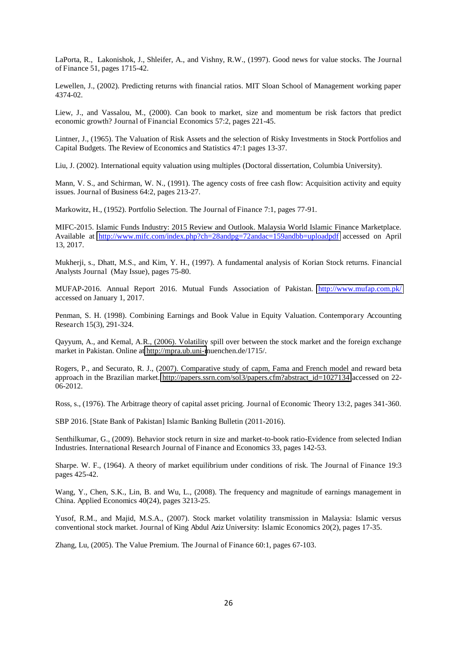LaPorta, R., Lakonishok, J., Shleifer, A., and Vishny, R.W., (1997). Good news for value stocks. The Journal of Finance 51, pages 1715-42.

Lewellen, J., (2002). Predicting returns with financial ratios. MIT Sloan School of Management working paper 4374-02.

Liew, J., and Vassalou, M., (2000). Can book to market, size and momentum be risk factors that predict economic growth? Journal of Financial Economics 57:2, pages 221-45.

Lintner, J., (1965). The Valuation of Risk Assets and the selection of Risky Investments in Stock Portfolios and Capital Budgets. The Review of Economics and Statistics 47:1 pages 13-37.

Liu, J. (2002). International equity valuation using multiples (Doctoral dissertation, Columbia University).

Mann, V. S., and Schirman, W. N., (1991). The agency costs of free cash flow: Acquisition activity and equity issues. Journal of Business 64:2, pages 213-27.

Markowitz, H., (1952). Portfolio Selection. The Journal of Finance 7:1, pages 77-91.

MIFC-2015. Islamic Funds Industry: 2015 Review and Outlook. Malaysia World Islamic Finance Marketplace. Available at [http://www.mifc.com/index.php?ch=28andpg=72andac=159andbb=uploadpdf](http://www.mifc.com/index.php?ch=28&pg=72&ac=159&bb=uploadpdf) accessed on April 13, 2017.

Mukherji, s., Dhatt, M.S., and Kim, Y. H., (1997). A fundamental analysis of Korian Stock returns. Financial Analysts Journal (May Issue), pages 75-80.

MUFAP-2016. Annual Report 2016. Mutual Funds Association of Pakistan. <http://www.mufap.com.pk/> accessed on January 1, 2017.

Penman, S. H. (1998). Combining Earnings and Book Value in Equity Valuation. Contemporary Accounting Research 15(3), 291-324.

Qayyum, A., and Kemal, A.R., (2006). Volatility spill over between the stock market and the foreign exchange market in Pakistan. Online at [http://mpra.ub.uni-m](http://mpra.ub.uni-/)uenchen.de/1715/.

Rogers, P., and Securato, R. J., (2007). Comparative study of capm, Fama and French model and reward beta approach in the Brazilian market. [http://papers.ssrn.com/sol3/papers.cfm?abstract\\_id=1027134](http://papers.ssrn.com/sol3/papers.cfm?abstract_id=1027134) accessed on 22- 06-2012.

Ross, s., (1976). The Arbitrage theory of capital asset pricing. Journal of Economic Theory 13:2, pages 341-360.

SBP 2016. [State Bank of Pakistan] Islamic Banking Bulletin (2011-2016).

Senthilkumar, G., (2009). Behavior stock return in size and market-to-book ratio-Evidence from selected Indian Industries. International Research Journal of Finance and Economics 33, pages 142-53.

Sharpe. W. F., (1964). A theory of market equilibrium under conditions of risk. The Journal of Finance 19:3 pages 425-42.

Wang, Y., Chen, S.K., Lin, B. and Wu, L., (2008). The frequency and magnitude of earnings management in China. Applied Economics 40(24), pages 3213-25.

Yusof, R.M., and Majid, M.S.A., (2007). Stock market volatility transmission in Malaysia: Islamic versus conventional stock market. Journal of King Abdul Aziz University: Islamic Economics 20(2), pages 17-35.

Zhang, Lu, (2005). The Value Premium. The Journal of Finance 60:1, pages 67-103.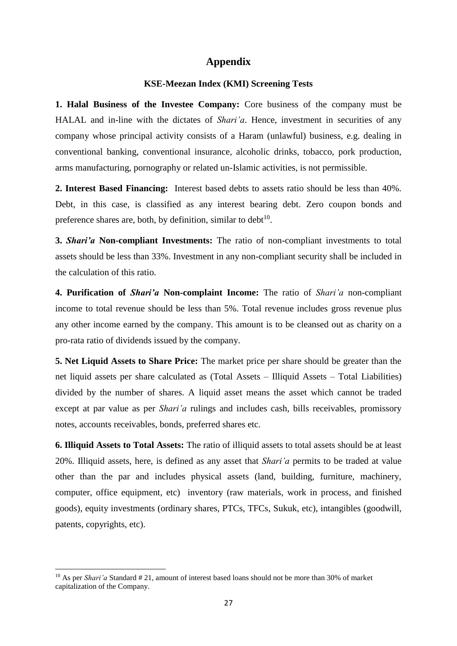#### **Appendix**

#### **KSE-Meezan Index (KMI) Screening Tests**

**1. Halal Business of the Investee Company:** Core business of the company must be HALAL and in-line with the dictates of *Shari'a*. Hence, investment in securities of any company whose principal activity consists of a Haram (unlawful) business, e.g. dealing in conventional banking, conventional insurance, alcoholic drinks, tobacco, pork production, arms manufacturing, pornography or related un-Islamic activities, is not permissible.

**2. Interest Based Financing:** Interest based debts to assets ratio should be less than 40%. Debt, in this case, is classified as any interest bearing debt. Zero coupon bonds and preference shares are, both, by definition, similar to  $debt^{10}$ .

**3.** *Shari'a* **Non-compliant Investments:** The ratio of non-compliant investments to total assets should be less than 33%. Investment in any non-compliant security shall be included in the calculation of this ratio.

**4. Purification of** *Shari'a* **Non-complaint Income:** The ratio of *Shari'a* non-compliant income to total revenue should be less than 5%. Total revenue includes gross revenue plus any other income earned by the company. This amount is to be cleansed out as charity on a pro-rata ratio of dividends issued by the company.

**5. Net Liquid Assets to Share Price:** The market price per share should be greater than the net liquid assets per share calculated as (Total Assets – Illiquid Assets – Total Liabilities) divided by the number of shares. A liquid asset means the asset which cannot be traded except at par value as per *Shari'a* rulings and includes cash, bills receivables, promissory notes, accounts receivables, bonds, preferred shares etc.

**6. Illiquid Assets to Total Assets:** The ratio of illiquid assets to total assets should be at least 20%. Illiquid assets, here, is defined as any asset that *Shari'a* permits to be traded at value other than the par and includes physical assets (land, building, furniture, machinery, computer, office equipment, etc) inventory (raw materials, work in process, and finished goods), equity investments (ordinary shares, PTCs, TFCs, Sukuk, etc), intangibles (goodwill, patents, copyrights, etc).

<sup>&</sup>lt;sup>10</sup> As per *Shari'a* Standard # 21, amount of interest based loans should not be more than 30% of market capitalization of the Company.